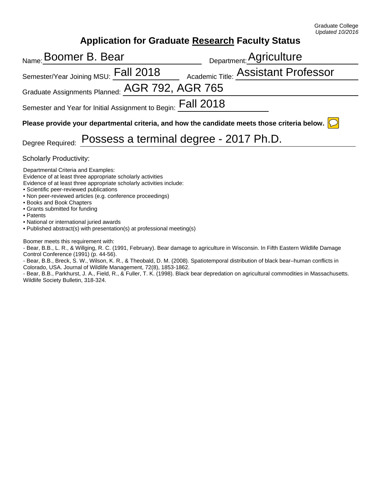## **Application for Graduate Research Faculty Status**

| <sub>Name:</sub> Boomer B. Bear                                                                                 | Department: Agriculture                    |  |
|-----------------------------------------------------------------------------------------------------------------|--------------------------------------------|--|
| Semester/Year Joining MSU: Fall 2018                                                                            | <b>Academic Title: Assistant Professor</b> |  |
| Graduate Assignments Planned: AGR 792, AGR 765                                                                  |                                            |  |
| Semester and Year for Initial Assignment to Begin: $\mathsf{Fall}$ 2018                                         |                                            |  |
| Please provide your departmental criteria, and how the candidate meets those criteria below. $\boxed{\bigcirc}$ |                                            |  |
| Degree Required: Possess a terminal degree - 2017 Ph.D.                                                         |                                            |  |
| Cohologh, Droduothith                                                                                           |                                            |  |

Scholarly Productivity:

Departmental Criteria and Examples:

Evidence of at least three appropriate scholarly activities Evidence of at least three appropriate scholarly activities include:

- Scientific peer-reviewed publications
- Non peer-reviewed articles (e.g. conference proceedings)
- Books and Book Chapters
- Grants submitted for funding
- Patents

• National or international juried awards

• Published abstract(s) with presentation(s) at professional meeting(s)

Boomer meets this requirement with:

- Bear, B.B., L. R., & Willging, R. C. (1991, February). Bear damage to agriculture in Wisconsin. In Fifth Eastern Wildlife Damage Control Conference (1991) (p. 44-56).

- Bear, B.B., Breck, S. W., Wilson, K. R., & Theobald, D. M. (2008). Spatiotemporal distribution of black bear–human conflicts in Colorado, USA. Journal of Wildlife Management, 72(8), 1853-1862.

- Bear, B.B., Parkhurst, J. A., Field, R., & Fuller, T. K. (1998). Black bear depredation on agricultural commodities in Massachusetts. Wildlife Society Bulletin, 318-324.